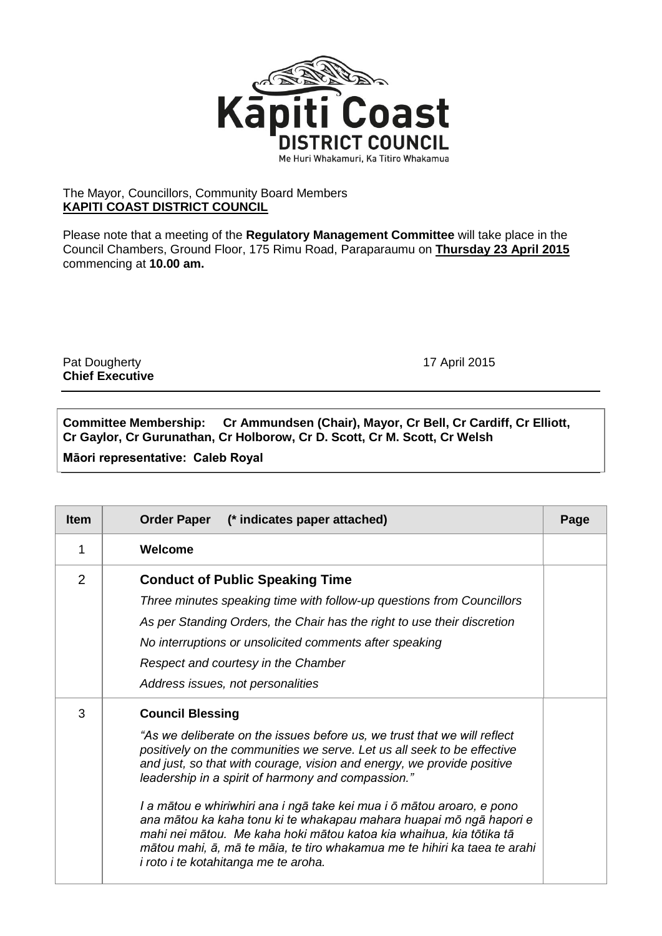

## The Mayor, Councillors, Community Board Members **KAPITI COAST DISTRICT COUNCIL**

Please note that a meeting of the **Regulatory Management Committee** will take place in the Council Chambers, Ground Floor, 175 Rimu Road, Paraparaumu on **Thursday 23 April 2015** commencing at **10.00 am.**

Pat Dougherty **17 April 2015 Chief Executive**

**Committee Membership: Cr Ammundsen (Chair), Mayor, Cr Bell, Cr Cardiff, Cr Elliott, Cr Gaylor, Cr Gurunathan, Cr Holborow, Cr D. Scott, Cr M. Scott, Cr Welsh**

**Māori representative: Caleb Royal**

| <b>Item</b>    | Order Paper (* indicates paper attached)                                                                                                                                                                                                                                                                                                                                                                                                                                                                                                                                                                                                                    | Page |
|----------------|-------------------------------------------------------------------------------------------------------------------------------------------------------------------------------------------------------------------------------------------------------------------------------------------------------------------------------------------------------------------------------------------------------------------------------------------------------------------------------------------------------------------------------------------------------------------------------------------------------------------------------------------------------------|------|
| 1              | Welcome                                                                                                                                                                                                                                                                                                                                                                                                                                                                                                                                                                                                                                                     |      |
| $\overline{2}$ | <b>Conduct of Public Speaking Time</b><br>Three minutes speaking time with follow-up questions from Councillors<br>As per Standing Orders, the Chair has the right to use their discretion<br>No interruptions or unsolicited comments after speaking<br>Respect and courtesy in the Chamber<br>Address issues, not personalities                                                                                                                                                                                                                                                                                                                           |      |
| 3              | <b>Council Blessing</b><br>"As we deliberate on the issues before us, we trust that we will reflect<br>positively on the communities we serve. Let us all seek to be effective<br>and just, so that with courage, vision and energy, we provide positive<br>leadership in a spirit of harmony and compassion."<br>I a mātou e whiriwhiri ana i ngā take kei mua i ō mātou aroaro, e pono<br>ana mātou ka kaha tonu ki te whakapau mahara huapai mō ngā hapori e<br>mahi nei mātou. Me kaha hoki mātou katoa kia whaihua, kia tōtika tā<br>mātou mahi, ā, mā te māia, te tiro whakamua me te hihiri ka taea te arahi<br>i roto i te kotahitanga me te aroha. |      |